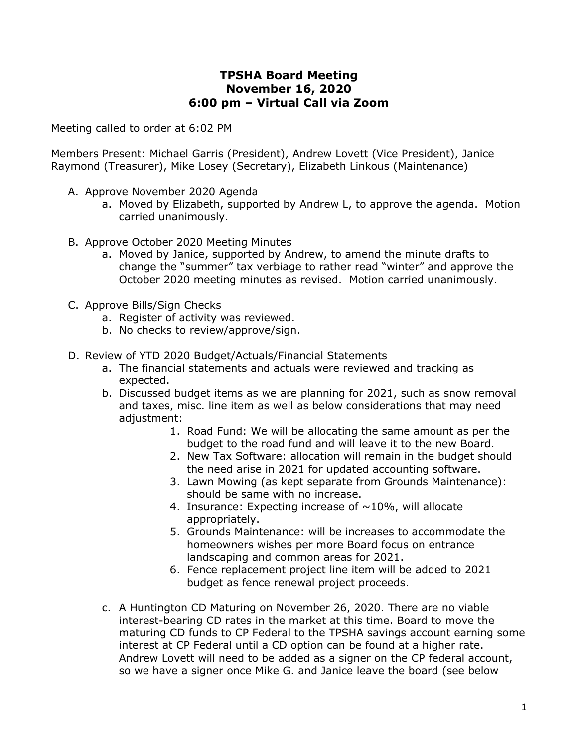## **TPSHA Board Meeting November 16, 2020 6:00 pm – Virtual Call via Zoom**

Meeting called to order at 6:02 PM

Members Present: Michael Garris (President), Andrew Lovett (Vice President), Janice Raymond (Treasurer), Mike Losey (Secretary), Elizabeth Linkous (Maintenance)

- A. Approve November 2020 Agenda
	- a. Moved by Elizabeth, supported by Andrew L, to approve the agenda. Motion carried unanimously.
- B. Approve October 2020 Meeting Minutes
	- a. Moved by Janice, supported by Andrew, to amend the minute drafts to change the "summer" tax verbiage to rather read "winter" and approve the October 2020 meeting minutes as revised. Motion carried unanimously.
- C. Approve Bills/Sign Checks
	- a. Register of activity was reviewed.
	- b. No checks to review/approve/sign.
- D. Review of YTD 2020 Budget/Actuals/Financial Statements
	- a. The financial statements and actuals were reviewed and tracking as expected.
	- b. Discussed budget items as we are planning for 2021, such as snow removal and taxes, misc. line item as well as below considerations that may need adjustment:
		- 1. Road Fund: We will be allocating the same amount as per the budget to the road fund and will leave it to the new Board.
		- 2. New Tax Software: allocation will remain in the budget should the need arise in 2021 for updated accounting software.
		- 3. Lawn Mowing (as kept separate from Grounds Maintenance): should be same with no increase.
		- 4. Insurance: Expecting increase of  $\sim$ 10%, will allocate appropriately.
		- 5. Grounds Maintenance: will be increases to accommodate the homeowners wishes per more Board focus on entrance landscaping and common areas for 2021.
		- 6. Fence replacement project line item will be added to 2021 budget as fence renewal project proceeds.
	- c. A Huntington CD Maturing on November 26, 2020. There are no viable interest-bearing CD rates in the market at this time. Board to move the maturing CD funds to CP Federal to the TPSHA savings account earning some interest at CP Federal until a CD option can be found at a higher rate. Andrew Lovett will need to be added as a signer on the CP federal account, so we have a signer once Mike G. and Janice leave the board (see below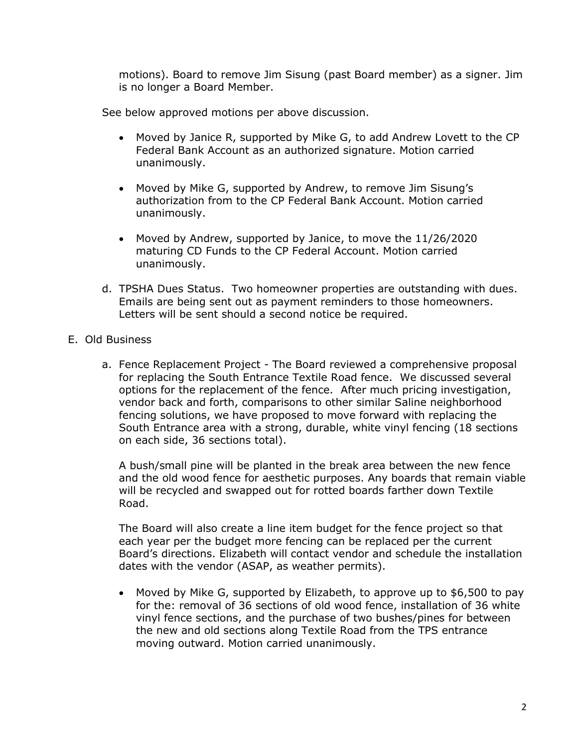motions). Board to remove Jim Sisung (past Board member) as a signer. Jim is no longer a Board Member.

See below approved motions per above discussion.

- Moved by Janice R, supported by Mike G, to add Andrew Lovett to the CP Federal Bank Account as an authorized signature. Motion carried unanimously.
- Moved by Mike G, supported by Andrew, to remove Jim Sisung's authorization from to the CP Federal Bank Account. Motion carried unanimously.
- Moved by Andrew, supported by Janice, to move the 11/26/2020 maturing CD Funds to the CP Federal Account. Motion carried unanimously.
- d. TPSHA Dues Status. Two homeowner properties are outstanding with dues. Emails are being sent out as payment reminders to those homeowners. Letters will be sent should a second notice be required.
- E. Old Business
	- a. Fence Replacement Project The Board reviewed a comprehensive proposal for replacing the South Entrance Textile Road fence. We discussed several options for the replacement of the fence. After much pricing investigation, vendor back and forth, comparisons to other similar Saline neighborhood fencing solutions, we have proposed to move forward with replacing the South Entrance area with a strong, durable, white vinyl fencing (18 sections on each side, 36 sections total).

A bush/small pine will be planted in the break area between the new fence and the old wood fence for aesthetic purposes. Any boards that remain viable will be recycled and swapped out for rotted boards farther down Textile Road.

The Board will also create a line item budget for the fence project so that each year per the budget more fencing can be replaced per the current Board's directions. Elizabeth will contact vendor and schedule the installation dates with the vendor (ASAP, as weather permits).

• Moved by Mike G, supported by Elizabeth, to approve up to \$6,500 to pay for the: removal of 36 sections of old wood fence, installation of 36 white vinyl fence sections, and the purchase of two bushes/pines for between the new and old sections along Textile Road from the TPS entrance moving outward. Motion carried unanimously.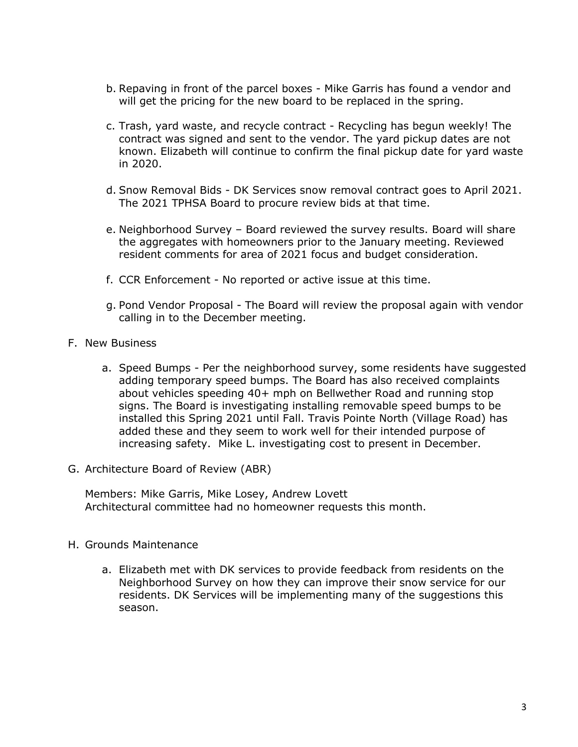- b. Repaving in front of the parcel boxes Mike Garris has found a vendor and will get the pricing for the new board to be replaced in the spring.
- c. Trash, yard waste, and recycle contract Recycling has begun weekly! The contract was signed and sent to the vendor. The yard pickup dates are not known. Elizabeth will continue to confirm the final pickup date for yard waste in 2020.
- d. Snow Removal Bids DK Services snow removal contract goes to April 2021. The 2021 TPHSA Board to procure review bids at that time.
- e. Neighborhood Survey Board reviewed the survey results. Board will share the aggregates with homeowners prior to the January meeting. Reviewed resident comments for area of 2021 focus and budget consideration.
- f. CCR Enforcement No reported or active issue at this time.
- g. Pond Vendor Proposal The Board will review the proposal again with vendor calling in to the December meeting.
- F. New Business
	- a. Speed Bumps Per the neighborhood survey, some residents have suggested adding temporary speed bumps. The Board has also received complaints about vehicles speeding 40+ mph on Bellwether Road and running stop signs. The Board is investigating installing removable speed bumps to be installed this Spring 2021 until Fall. Travis Pointe North (Village Road) has added these and they seem to work well for their intended purpose of increasing safety. Mike L. investigating cost to present in December.
- G. Architecture Board of Review (ABR)

Members: Mike Garris, Mike Losey, Andrew Lovett Architectural committee had no homeowner requests this month.

- H. Grounds Maintenance
	- a. Elizabeth met with DK services to provide feedback from residents on the Neighborhood Survey on how they can improve their snow service for our residents. DK Services will be implementing many of the suggestions this season.